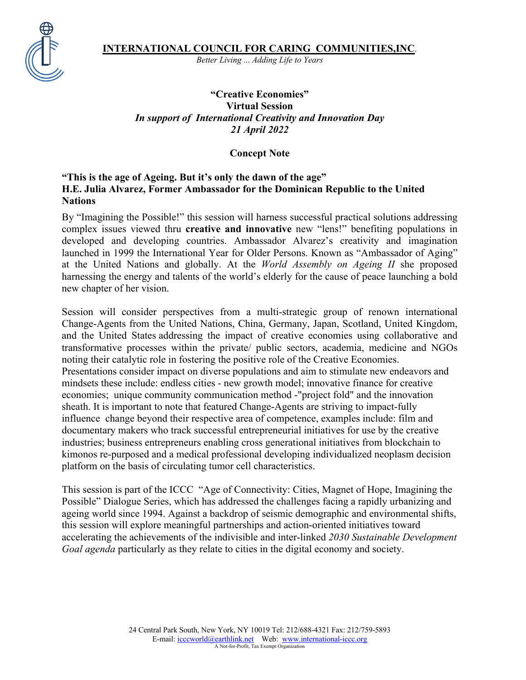*Better Living* ... *Adding Life to Years*

## **"Creative Economies" Virtual Session** *In support of International Creativity and Innovation Day 21 April 2022*

**Concept Note**

### **"This is the age of Ageing. But it's only the dawn of the age" H.E. Julia Alvarez, Former Ambassador for the Dominican Republic to the United Nations**

By "Imagining the Possible!" this session will harness successful practical solutions addressing complex issues viewed thru **creative and innovative** new "lens!" benefiting populations in developed and developing countries. Ambassador Alvarez's creativity and imagination launched in 1999 the International Year for Older Persons. Known as "Ambassador of Aging" at the United Nations and globally. At the *World Assembly on Ageing II* she proposed harnessing the energy and talents of the world's elderly for the cause of peace launching a bold new chapter of her vision.

Session will consider perspectives from a multi-strategic group of renown international Change-Agents from the United Nations, China, Germany, Japan, Scotland, United Kingdom, and the United States addressing the impact of creative economies using collaborative and transformative processes within the private/ public sectors, academia, medicine and NGOs noting their catalytic role in fostering the positive role of the Creative Economies. Presentations consider impact on diverse populations and aim to stimulate new endeavors and mindsets these include: endless cities - new growth model; innovative finance for creative economies; unique community communication method -"project fold" and the innovation sheath. It is important to note that featured Change-Agents are striving to impact-fully influence change beyond their respective area of competence, examples include: film and documentary makers who track successful entrepreneurial initiatives for use by the creative industries; business entrepreneurs enabling cross generational initiatives from blockchain to kimonos re-purposed and a medical professional developing individualized neoplasm decision platform on the basis of circulating tumor cell characteristics.

This session is part of the ICCC "Age of Connectivity: Cities, Magnet of Hope, Imagining the Possible" Dialogue Series, which has addressed the challenges facing a rapidly urbanizing and ageing world since 1994. Against a backdrop of seismic demographic and environmental shifts, this session will explore meaningful partnerships and action-oriented initiatives toward accelerating the achievements of the indivisible and inter-linked *2030 Sustainable Development Goal agenda* particularly as they relate to cities in the digital economy and society.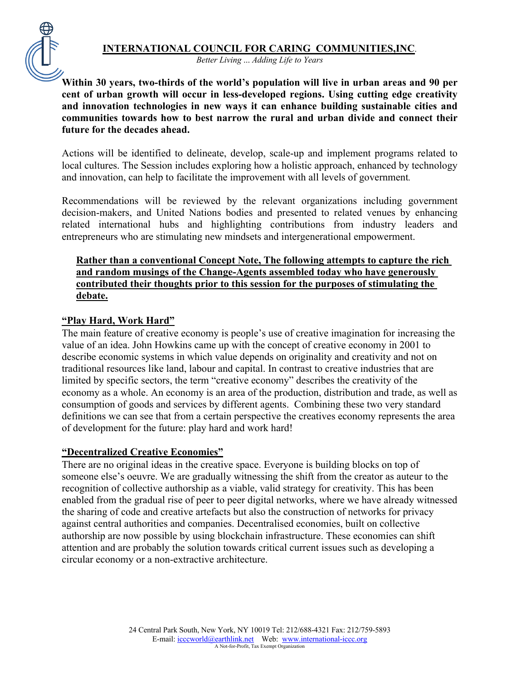*Better Living* ... *Adding Life to Years*

**Within 30 years, two-thirds of the world's population will live in urban areas and 90 per cent of urban growth will occur in less-developed regions. Using cutting edge creativity and innovation technologies in new ways it can enhance building sustainable cities and communities towards how to best narrow the rural and urban divide and connect their future for the decades ahead.**

Actions will be identified to delineate, develop, scale-up and implement programs related to local cultures. The Session includes exploring how a holistic approach, enhanced by technology and innovation, can help to facilitate the improvement with all levels of government*.* 

Recommendations will be reviewed by the relevant organizations including government decision-makers, and United Nations bodies and presented to related venues by enhancing related international hubs and highlighting contributions from industry leaders and entrepreneurs who are stimulating new mindsets and intergenerational empowerment.

### **Rather than a conventional Concept Note, The following attempts to capture the rich and random musings of the Change-Agents assembled today who have generously contributed their thoughts prior to this session for the purposes of stimulating the debate.**

### **"Play Hard, Work Hard"**

The main feature of creative economy is people's use of creative imagination for increasing the value of an idea. John Howkins came up with the concept of creative economy in 2001 to describe economic systems in which value depends on originality and creativity and not on traditional resources like land, labour and capital. In contrast to creative industries that are limited by specific sectors, the term "creative economy" describes the creativity of the economy as a whole. An economy is an area of the production, distribution and trade, as well as consumption of goods and services by different agents. Combining these two very standard definitions we can see that from a certain perspective the creatives economy represents the area of development for the future: play hard and work hard!

#### **"Decentralized Creative Economies"**

There are no original ideas in the creative space. Everyone is building blocks on top of someone else's oeuvre. We are gradually witnessing the shift from the creator as auteur to the recognition of collective authorship as a viable, valid strategy for creativity. This has been enabled from the gradual rise of peer to peer digital networks, where we have already witnessed the sharing of code and creative artefacts but also the construction of networks for privacy against central authorities and companies. Decentralised economies, built on collective authorship are now possible by using blockchain infrastructure. These economies can shift attention and are probably the solution towards critical current issues such as developing a circular economy or a non-extractive architecture.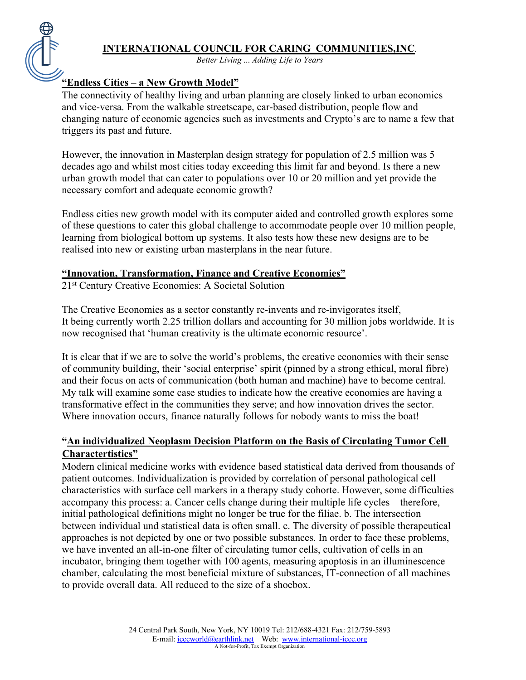*Better Living* ... *Adding Life to Years*

# **"Endless Cities – a New Growth Model"**

The connectivity of healthy living and urban planning are closely linked to urban economics and vice-versa. From the walkable streetscape, car-based distribution, people flow and changing nature of economic agencies such as investments and Crypto's are to name a few that triggers its past and future.

However, the innovation in Masterplan design strategy for population of 2.5 million was 5 decades ago and whilst most cities today exceeding this limit far and beyond. Is there a new urban growth model that can cater to populations over 10 or 20 million and yet provide the necessary comfort and adequate economic growth?

Endless cities new growth model with its computer aided and controlled growth explores some of these questions to cater this global challenge to accommodate people over 10 million people, learning from biological bottom up systems. It also tests how these new designs are to be realised into new or existing urban masterplans in the near future.

### **"Innovation, Transformation, Finance and Creative Economies"**

21st Century Creative Economies: A Societal Solution

The Creative Economies as a sector constantly re-invents and re-invigorates itself, It being currently worth 2.25 trillion dollars and accounting for 30 million jobs worldwide. It is now recognised that 'human creativity is the ultimate economic resource'.

It is clear that if we are to solve the world's problems, the creative economies with their sense of community building, their 'social enterprise' spirit (pinned by a strong ethical, moral fibre) and their focus on acts of communication (both human and machine) have to become central. My talk will examine some case studies to indicate how the creative economies are having a transformative effect in the communities they serve; and how innovation drives the sector. Where innovation occurs, finance naturally follows for nobody wants to miss the boat!

## **"An individualized Neoplasm Decision Platform on the Basis of Circulating Tumor Cell Charactertistics"**

Modern clinical medicine works with evidence based statistical data derived from thousands of patient outcomes. Individualization is provided by correlation of personal pathological cell characteristics with surface cell markers in a therapy study cohorte. However, some difficulties accompany this process: a. Cancer cells change during their multiple life cycles – therefore, initial pathological definitions might no longer be true for the filiae. b. The intersection between individual und statistical data is often small. c. The diversity of possible therapeutical approaches is not depicted by one or two possible substances. In order to face these problems, we have invented an all-in-one filter of circulating tumor cells, cultivation of cells in an incubator, bringing them together with 100 agents, measuring apoptosis in an illuminescence chamber, calculating the most beneficial mixture of substances, IT-connection of all machines to provide overall data. All reduced to the size of a shoebox.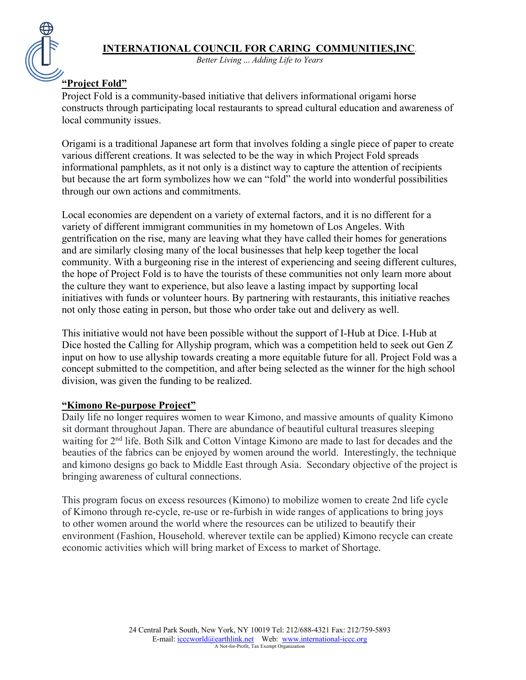

*Better Living* ... *Adding Life to Years*

# **"Project Fold"**

Project Fold is a community-based initiative that delivers informational origami horse constructs through participating local restaurants to spread cultural education and awareness of local community issues.

Origami is a traditional Japanese art form that involves folding a single piece of paper to create various different creations. It was selected to be the way in which Project Fold spreads informational pamphlets, as it not only is a distinct way to capture the attention of recipients but because the art form symbolizes how we can "fold" the world into wonderful possibilities through our own actions and commitments.

Local economies are dependent on a variety of external factors, and it is no different for a variety of different immigrant communities in my hometown of Los Angeles. With gentrification on the rise, many are leaving what they have called their homes for generations and are similarly closing many of the local businesses that help keep together the local community. With a burgeoning rise in the interest of experiencing and seeing different cultures, the hope of Project Fold is to have the tourists of these communities not only learn more about the culture they want to experience, but also leave a lasting impact by supporting local initiatives with funds or volunteer hours. By partnering with restaurants, this initiative reaches not only those eating in person, but those who order take out and delivery as well.

This initiative would not have been possible without the support of I-Hub at Dice. I-Hub at Dice hosted the Calling for Allyship program, which was a competition held to seek out Gen Z input on how to use allyship towards creating a more equitable future for all. Project Fold was a concept submitted to the competition, and after being selected as the winner for the high school division, was given the funding to be realized.

### **"Kimono Re-purpose Project"**

Daily life no longer requires women to wear Kimono, and massive amounts of quality Kimono sit dormant throughout Japan. There are abundance of beautiful cultural treasures sleeping waiting for 2<sup>nd</sup> life. Both Silk and Cotton Vintage Kimono are made to last for decades and the beauties of the fabrics can be enjoyed by women around the world. Interestingly, the technique and kimono designs go back to Middle East through Asia. Secondary objective of the project is bringing awareness of cultural connections.

This program focus on excess resources (Kimono) to mobilize women to create 2nd life cycle of Kimono through re-cycle, re-use or re-furbish in wide ranges of applications to bring joys to other women around the world where the resources can be utilized to beautify their environment (Fashion, Household. wherever textile can be applied) Kimono recycle can create economic activities which will bring market of Excess to market of Shortage.